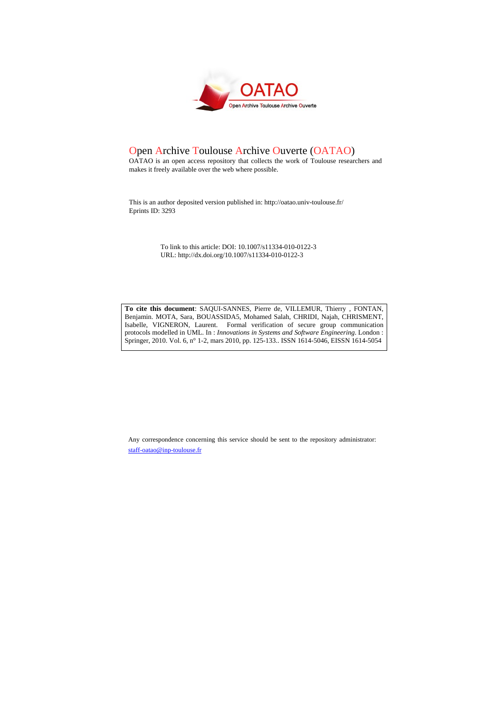

# Open Archive Toulouse Archive Ouverte (OATAO)

OATAO is an open access repository that collects the work of Toulouse researchers and makes it freely available over the web where possible.

This is an author deposited version published in: <http://oatao.univ-toulouse.fr/> Eprints ID: 3293

> To link to this article: DOI: 10.1007/s11334-010-0122-3 URL: http://dx.doi.org/10.1007/s11334-010-0122-3

**To cite this document**: SAQUI-SANNES, Pierre de, VILLEMUR, Thierry , FONTAN, Benjamin. MOTA, Sara, BOUASSIDA5, Mohamed Salah, CHRIDI, Najah, CHRISMENT, Isabelle, VIGNERON, Laurent. Formal verification of secure group communication protocols modelled in UML. In : *Innovations in Systems and Software Engineering*. London : Springer, 2010. Vol. 6, n° 1-2, mars 2010, pp. 125-133.. ISSN 1614-5046, EISSN 1614-5054

Any correspondence concerning this service should be sent to the repository administrator: [staff-oatao@inp-toulouse.fr](mailto:staff-oatao@inp-toulouse.fr)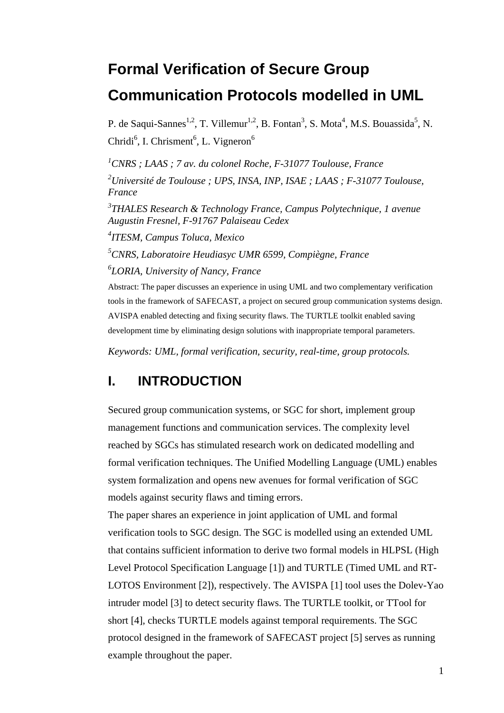# **Formal Verification of Secure Group Communication Protocols modelled in UML**

P. de Saqui-Sannes<sup>1,2</sup>, T. Villemur<sup>1,2</sup>, B. Fontan<sup>3</sup>, S. Mota<sup>4</sup>, M.S. Bouassida<sup>5</sup>, N. Chridi<sup>6</sup>, I. Chrisment<sup>6</sup>, L. Vigneron<sup>6</sup>

*1 CNRS ; LAAS ; 7 av. du colonel Roche, F-31077 Toulouse, France 2 Université de Toulouse ; UPS, INSA, INP, ISAE ; LAAS ; F-31077 Toulouse, France* 

*3 THALES Research & Technology France, Campus Polytechnique, 1 avenue Augustin Fresnel, F-91767 Palaiseau Cedex* 

*4 ITESM, Campus Toluca, Mexico*

*5 CNRS, Laboratoire Heudiasyc UMR 6599, Compiègne, France 6 LORIA, University of Nancy, France* 

Abstract: The paper discusses an experience in using UML and two complementary verification tools in the framework of SAFECAST, a project on secured group communication systems design. AVISPA enabled detecting and fixing security flaws. The TURTLE toolkit enabled saving development time by eliminating design solutions with inappropriate temporal parameters.

*Keywords: UML, formal verification, security, real-time, group protocols.* 

## **I. INTRODUCTION**

Secured group communication systems, or SGC for short, implement group management functions and communication services. The complexity level reached by SGCs has stimulated research work on dedicated modelling and formal verification techniques. The Unified Modelling Language (UML) enables system formalization and opens new avenues for formal verification of SGC models against security flaws and timing errors.

The paper shares an experience in joint application of UML and formal verification tools to SGC design. The SGC is modelled using an extended UML that contains sufficient information to derive two formal models in HLPSL (High Level Protocol Specification Language [1]) and TURTLE (Timed UML and RT-LOTOS Environment [2]), respectively. The AVISPA [1] tool uses the Dolev-Yao intruder model [3] to detect security flaws. The TURTLE toolkit, or TTool for short [4], checks TURTLE models against temporal requirements. The SGC protocol designed in the framework of SAFECAST project [5] serves as running example throughout the paper.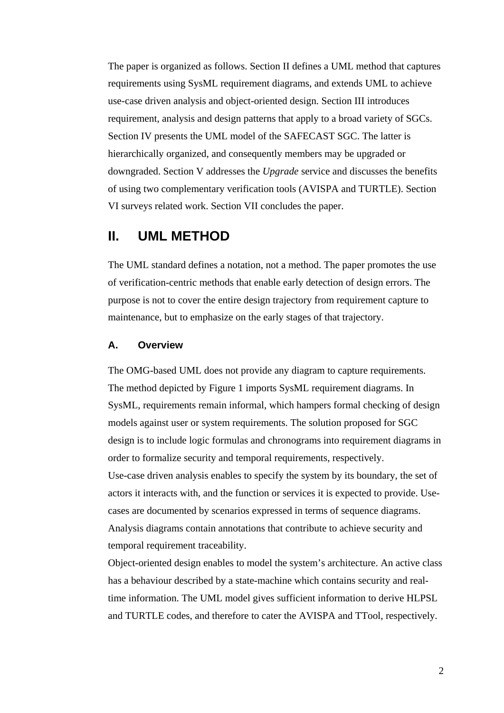The paper is organized as follows. Section II defines a UML method that captures requirements using SysML requirement diagrams, and extends UML to achieve use-case driven analysis and object-oriented design. Section III introduces requirement, analysis and design patterns that apply to a broad variety of SGCs. Section IV presents the UML model of the SAFECAST SGC. The latter is hierarchically organized, and consequently members may be upgraded or downgraded. Section V addresses the *Upgrade* service and discusses the benefits of using two complementary verification tools (AVISPA and TURTLE). Section VI surveys related work. Section VII concludes the paper.

### **II. UML METHOD**

The UML standard defines a notation, not a method. The paper promotes the use of verification-centric methods that enable early detection of design errors. The purpose is not to cover the entire design trajectory from requirement capture to maintenance, but to emphasize on the early stages of that trajectory.

#### **A. Overview**

The OMG-based UML does not provide any diagram to capture requirements. The method depicted by Figure 1 imports SysML requirement diagrams. In SysML, requirements remain informal, which hampers formal checking of design models against user or system requirements. The solution proposed for SGC design is to include logic formulas and chronograms into requirement diagrams in order to formalize security and temporal requirements, respectively. Use-case driven analysis enables to specify the system by its boundary, the set of actors it interacts with, and the function or services it is expected to provide. Usecases are documented by scenarios expressed in terms of sequence diagrams. Analysis diagrams contain annotations that contribute to achieve security and temporal requirement traceability.

Object-oriented design enables to model the system's architecture. An active class has a behaviour described by a state-machine which contains security and realtime information. The UML model gives sufficient information to derive HLPSL and TURTLE codes, and therefore to cater the AVISPA and TTool, respectively.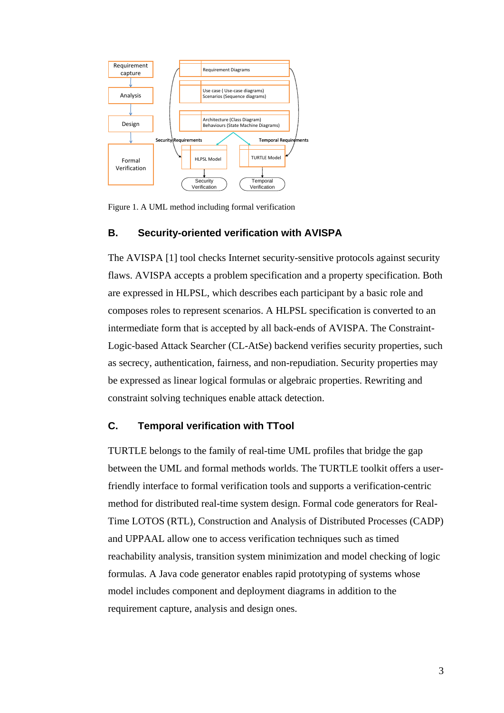

Figure 1. A UML method including formal verification

### **B. Security-oriented verification with AVISPA**

The AVISPA [1] tool checks Internet security-sensitive protocols against security flaws. AVISPA accepts a problem specification and a property specification. Both are expressed in HLPSL, which describes each participant by a basic role and composes roles to represent scenarios. A HLPSL specification is converted to an intermediate form that is accepted by all back-ends of AVISPA. The Constraint-Logic-based Attack Searcher (CL-AtSe) backend verifies security properties, such as secrecy, authentication, fairness, and non-repudiation. Security properties may be expressed as linear logical formulas or algebraic properties. Rewriting and constraint solving techniques enable attack detection.

### **C. Temporal verification with TTool**

TURTLE belongs to the family of real-time UML profiles that bridge the gap between the UML and formal methods worlds. The TURTLE toolkit offers a userfriendly interface to formal verification tools and supports a verification-centric method for distributed real-time system design. Formal code generators for Real-Time LOTOS (RTL), Construction and Analysis of Distributed Processes (CADP) and UPPAAL allow one to access verification techniques such as timed reachability analysis, transition system minimization and model checking of logic formulas. A Java code generator enables rapid prototyping of systems whose model includes component and deployment diagrams in addition to the requirement capture, analysis and design ones.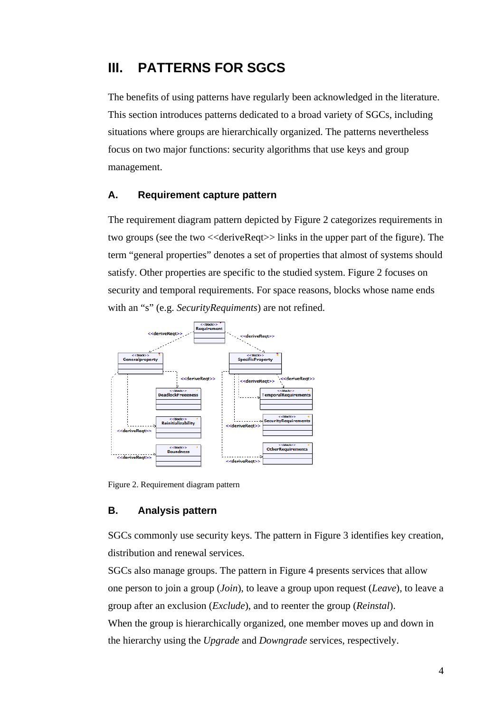# **III. PATTERNS FOR SGCS**

The benefits of using patterns have regularly been acknowledged in the literature. This section introduces patterns dedicated to a broad variety of SGCs, including situations where groups are hierarchically organized. The patterns nevertheless focus on two major functions: security algorithms that use keys and group management.

### **A. Requirement capture pattern**

The requirement diagram pattern depicted by Figure 2 categorizes requirements in two groups (see the two <<deriveReqt>> links in the upper part of the figure). The term "general properties" denotes a set of properties that almost of systems should satisfy. Other properties are specific to the studied system. Figure 2 focuses on security and temporal requirements. For space reasons, blocks whose name ends with an "s" (e.g. *SecurityRequiments*) are not refined.



Figure 2. Requirement diagram pattern

#### **B. Analysis pattern**

SGCs commonly use security keys. The pattern in Figure 3 identifies key creation, distribution and renewal services.

SGCs also manage groups. The pattern in Figure 4 presents services that allow one person to join a group (*Join*), to leave a group upon request (*Leave*), to leave a group after an exclusion (*Exclude*), and to reenter the group (*Reinstal*). When the group is hierarchically organized, one member moves up and down in the hierarchy using the *Upgrade* and *Downgrade* services, respectively.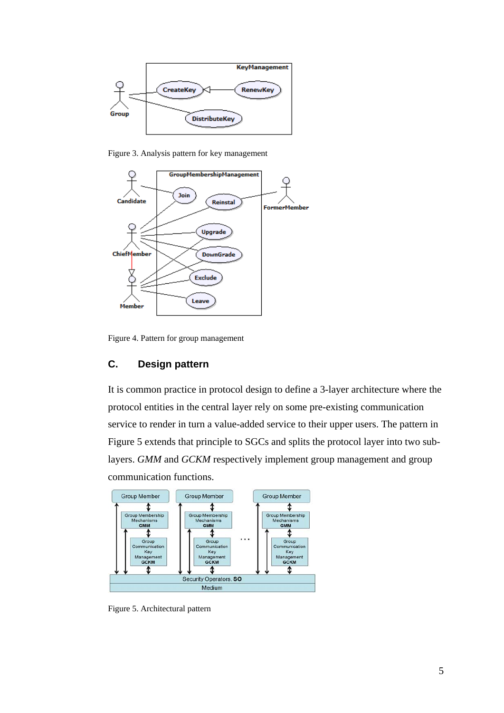

Figure 3. Analysis pattern for key management



Figure 4. Pattern for group management

### **C. Design pattern**

It is common practice in protocol design to define a 3-layer architecture where the protocol entities in the central layer rely on some pre-existing communication service to render in turn a value-added service to their upper users. The pattern in Figure 5 extends that principle to SGCs and splits the protocol layer into two sublayers. *GMM* and *GCKM* respectively implement group management and group communication functions.



Figure 5. Architectural pattern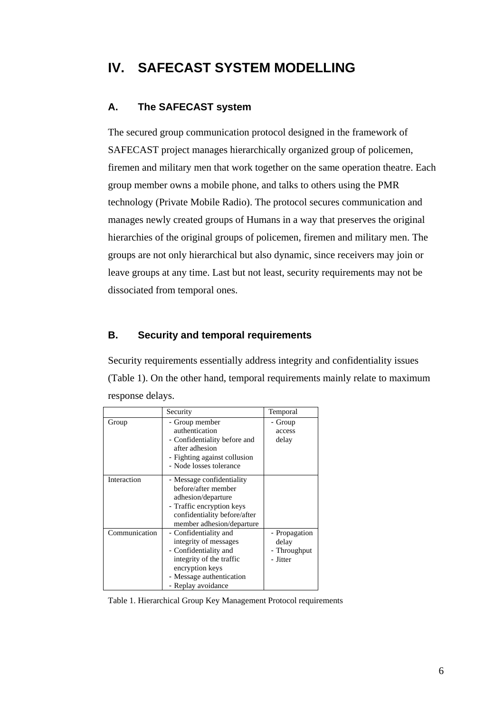# **IV. SAFECAST SYSTEM MODELLING**

### **A. The SAFECAST system**

The secured group communication protocol designed in the framework of SAFECAST project manages hierarchically organized group of policemen, firemen and military men that work together on the same operation theatre. Each group member owns a mobile phone, and talks to others using the PMR technology (Private Mobile Radio). The protocol secures communication and manages newly created groups of Humans in a way that preserves the original hierarchies of the original groups of policemen, firemen and military men. The groups are not only hierarchical but also dynamic, since receivers may join or leave groups at any time. Last but not least, security requirements may not be dissociated from temporal ones.

### **B. Security and temporal requirements**

Security requirements essentially address integrity and confidentiality issues (Table 1). On the other hand, temporal requirements mainly relate to maximum response delays.

|               | Security                                                                                                                                                                 | Temporal                                           |
|---------------|--------------------------------------------------------------------------------------------------------------------------------------------------------------------------|----------------------------------------------------|
| Group         | - Group member<br>authentication<br>- Confidentiality before and<br>after adhesion<br>- Fighting against collusion<br>- Node losses tolerance                            | - Group<br>access<br>delay                         |
| Interaction   | - Message confidentiality<br>before/after member<br>adhesion/departure<br>- Traffic encryption keys<br>confidentiality before/after<br>member adhesion/departure         |                                                    |
| Communication | - Confidentiality and<br>integrity of messages<br>- Confidentiality and<br>integrity of the traffic<br>encryption keys<br>- Message authentication<br>- Replay avoidance | - Propagation<br>delay<br>- Throughput<br>- Jitter |

Table 1. Hierarchical Group Key Management Protocol requirements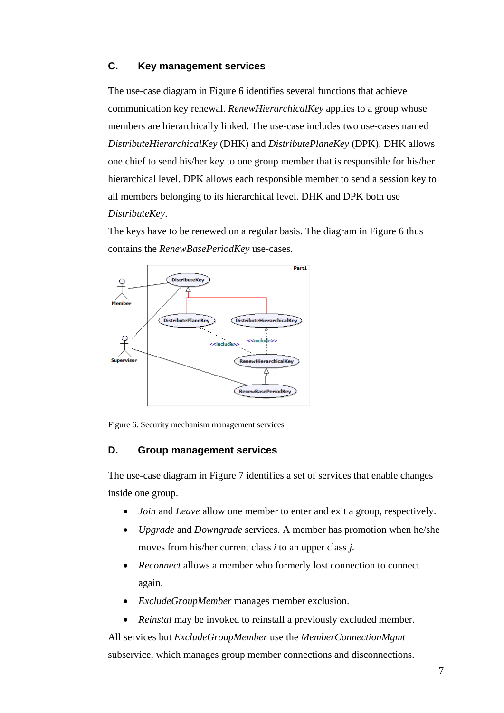### **C. Key management services**

The use-case diagram in Figure 6 identifies several functions that achieve communication key renewal. *RenewHierarchicalKey* applies to a group whose members are hierarchically linked. The use-case includes two use-cases named *DistributeHierarchicalKey* (DHK) and *DistributePlaneKey* (DPK). DHK allows one chief to send his/her key to one group member that is responsible for his/her hierarchical level. DPK allows each responsible member to send a session key to all members belonging to its hierarchical level. DHK and DPK both use *DistributeKey*.

The keys have to be renewed on a regular basis. The diagram in Figure 6 thus contains the *RenewBasePeriodKey* use-cases.



Figure 6. Security mechanism management services

### **D. Group management services**

The use-case diagram in Figure 7 identifies a set of services that enable changes inside one group.

- *Join* and *Leave* allow one member to enter and exit a group, respectively.
- *Upgrade* and *Downgrade* services. A member has promotion when he/she moves from his/her current class *i* to an upper class *j.*
- *Reconnect* allows a member who formerly lost connection to connect again.
- *ExcludeGroupMember* manages member exclusion.
- *Reinstal* may be invoked to reinstall a previously excluded member.

All services but *ExcludeGroupMember* use the *MemberConnectionMgmt* subservice, which manages group member connections and disconnections.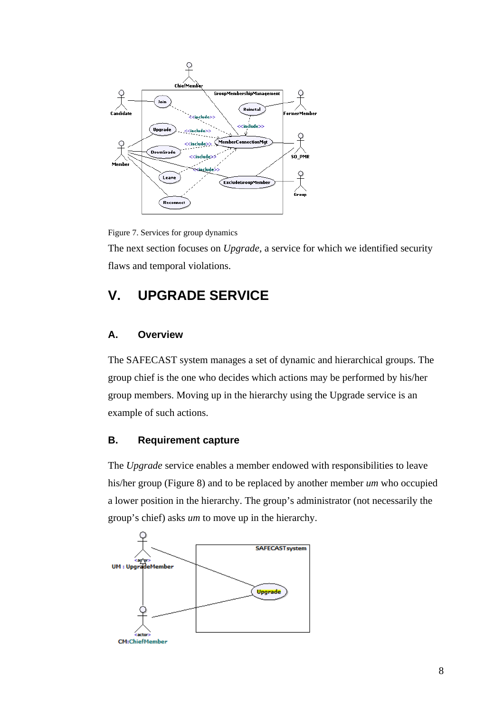

Figure 7. Services for group dynamics

The next section focuses on *Upgrade*, a service for which we identified security flaws and temporal violations.

# **V. UPGRADE SERVICE**

### **A. Overview**

The SAFECAST system manages a set of dynamic and hierarchical groups. The group chief is the one who decides which actions may be performed by his/her group members. Moving up in the hierarchy using the Upgrade service is an example of such actions.

### **B. Requirement capture**

The *Upgrade* service enables a member endowed with responsibilities to leave his/her group (Figure 8) and to be replaced by another member *um* who occupied a lower position in the hierarchy. The group's administrator (not necessarily the group's chief) asks *um* to move up in the hierarchy.

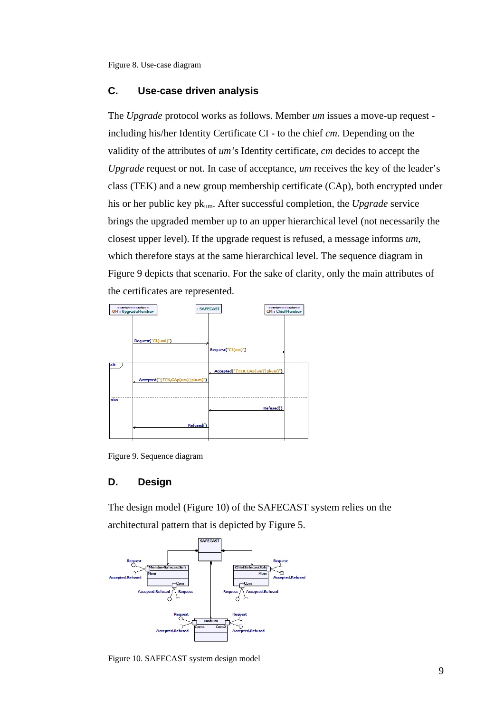Figure 8. Use-case diagram

### **C. Use-case driven analysis**

The *Upgrade* protocol works as follows. Member *um* issues a move-up request including his/her Identity Certificate CI - to the chief *cm*. Depending on the validity of the attributes of *um'*s Identity certificate, *cm* decides to accept the *Upgrade* request or not. In case of acceptance, *um* receives the key of the leader's class (TEK) and a new group membership certificate (CAp), both encrypted under his or her public key pkum. After successful completion, the *Upgrade* service brings the upgraded member up to an upper hierarchical level (not necessarily the closest upper level). If the upgrade request is refused, a message informs *um*, which therefore stays at the same hierarchical level. The sequence diagram in Figure 9 depicts that scenario. For the sake of clarity, only the main attributes of the certificates are represented.



Figure 9. Sequence diagram

### **D. Design**

The design model (Figure 10) of the SAFECAST system relies on the architectural pattern that is depicted by Figure 5.



Figure 10. SAFECAST system design model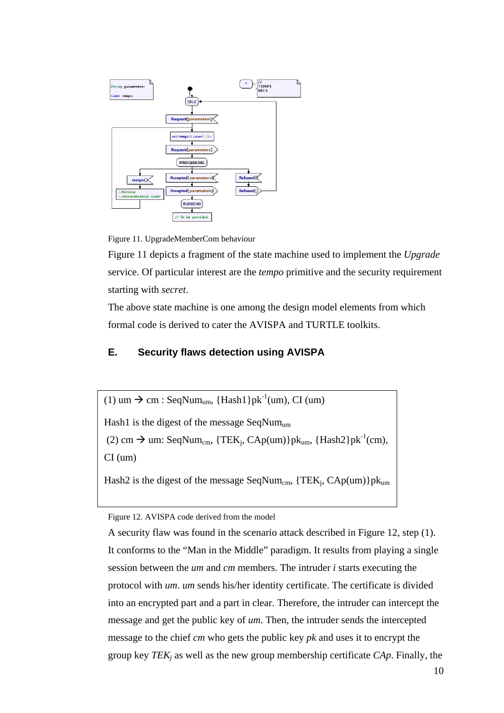

Figure 11. UpgradeMemberCom behaviour

Figure 11 depicts a fragment of the state machine used to implement the *Upgrade* service. Of particular interest are the *tempo* primitive and the security requirement starting with *secret*.

The above state machine is one among the design model elements from which formal code is derived to cater the AVISPA and TURTLE toolkits.

### **E. Security flaws detection using AVISPA**

(1) um  $\rightarrow$  cm : SeqNum<sub>um</sub>, {Hash1}pk<sup>-1</sup>(um), CI (um)

Hash1 is the digest of the message SeqNum<sub>um</sub>

(2) cm  $\rightarrow$  um: SeqNum<sub>cm</sub>, {TEK<sub>i</sub>, CAp(um)}pk<sub>um</sub>, {Hash2}pk<sup>-1</sup>(cm),

CI (um)

Hash2 is the digest of the message SeqNum<sub>cm</sub>,  $\{TEK_j, CAp(um)\}pk_{um}$ 

Figure 12. AVISPA code derived from the model

A security flaw was found in the scenario attack described in Figure 12, step (1). It conforms to the "Man in the Middle" paradigm. It results from playing a single session between the *um* and *cm* members. The intruder *i* starts executing the protocol with *um*. *um* sends his/her identity certificate. The certificate is divided into an encrypted part and a part in clear. Therefore, the intruder can intercept the message and get the public key of *um*. Then, the intruder sends the intercepted message to the chief *cm* who gets the public key *pk* and uses it to encrypt the group key *TEKj* as well as the new group membership certificate *CAp*. Finally, the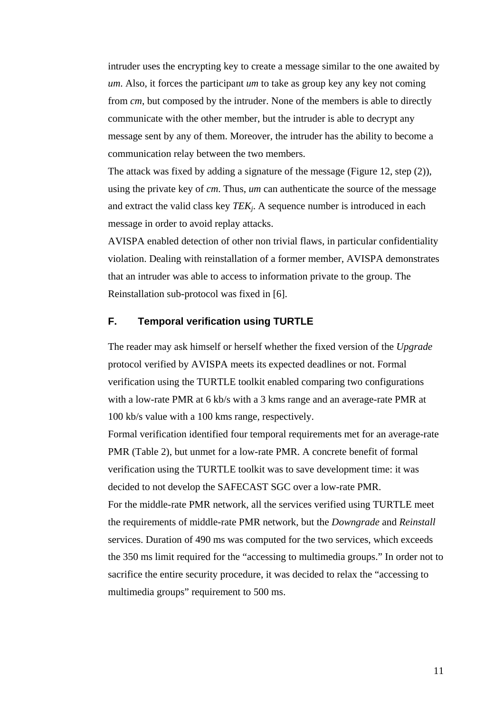intruder uses the encrypting key to create a message similar to the one awaited by *um*. Also, it forces the participant *um* to take as group key any key not coming from *cm*, but composed by the intruder. None of the members is able to directly communicate with the other member, but the intruder is able to decrypt any message sent by any of them. Moreover, the intruder has the ability to become a communication relay between the two members.

The attack was fixed by adding a signature of the message (Figure 12, step (2)), using the private key of *cm*. Thus, *um* can authenticate the source of the message and extract the valid class key *TEKj*. A sequence number is introduced in each message in order to avoid replay attacks.

AVISPA enabled detection of other non trivial flaws, in particular confidentiality violation. Dealing with reinstallation of a former member, AVISPA demonstrates that an intruder was able to access to information private to the group. The Reinstallation sub-protocol was fixed in [6].

### **F. Temporal verification using TURTLE**

The reader may ask himself or herself whether the fixed version of the *Upgrade* protocol verified by AVISPA meets its expected deadlines or not. Formal verification using the TURTLE toolkit enabled comparing two configurations with a low-rate PMR at 6 kb/s with a 3 kms range and an average-rate PMR at 100 kb/s value with a 100 kms range, respectively.

Formal verification identified four temporal requirements met for an average-rate PMR (Table 2), but unmet for a low-rate PMR. A concrete benefit of formal verification using the TURTLE toolkit was to save development time: it was decided to not develop the SAFECAST SGC over a low-rate PMR. For the middle-rate PMR network, all the services verified using TURTLE meet

the requirements of middle-rate PMR network, but the *Downgrade* and *Reinstall* services. Duration of 490 ms was computed for the two services, which exceeds the 350 ms limit required for the "accessing to multimedia groups." In order not to sacrifice the entire security procedure, it was decided to relax the "accessing to multimedia groups" requirement to 500 ms.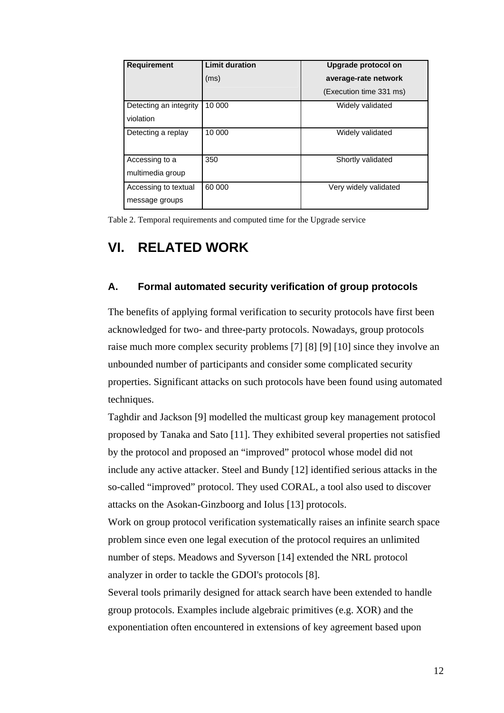| <b>Requirement</b>     | <b>Limit duration</b> | Upgrade protocol on     |
|------------------------|-----------------------|-------------------------|
|                        | (ms)                  | average-rate network    |
|                        |                       | (Execution time 331 ms) |
| Detecting an integrity | 10 000                | Widely validated        |
| violation              |                       |                         |
| Detecting a replay     | 10 000                | Widely validated        |
|                        |                       |                         |
| Accessing to a         | 350                   | Shortly validated       |
| multimedia group       |                       |                         |
| Accessing to textual   | 60 000                | Very widely validated   |
| message groups         |                       |                         |

Table 2. Temporal requirements and computed time for the Upgrade service

# **VI. RELATED WORK**

### **A. Formal automated security verification of group protocols**

The benefits of applying formal verification to security protocols have first been acknowledged for two- and three-party protocols. Nowadays, group protocols raise much more complex security problems [7] [8] [9] [10] since they involve an unbounded number of participants and consider some complicated security properties. Significant attacks on such protocols have been found using automated techniques.

Taghdir and Jackson [9] modelled the multicast group key management protocol proposed by Tanaka and Sato [11]. They exhibited several properties not satisfied by the protocol and proposed an "improved" protocol whose model did not include any active attacker. Steel and Bundy [12] identified serious attacks in the so-called "improved" protocol. They used CORAL, a tool also used to discover attacks on the Asokan-Ginzboorg and Iolus [13] protocols.

Work on group protocol verification systematically raises an infinite search space problem since even one legal execution of the protocol requires an unlimited number of steps. Meadows and Syverson [14] extended the NRL protocol analyzer in order to tackle the GDOI's protocols [8].

Several tools primarily designed for attack search have been extended to handle group protocols. Examples include algebraic primitives (e.g. XOR) and the exponentiation often encountered in extensions of key agreement based upon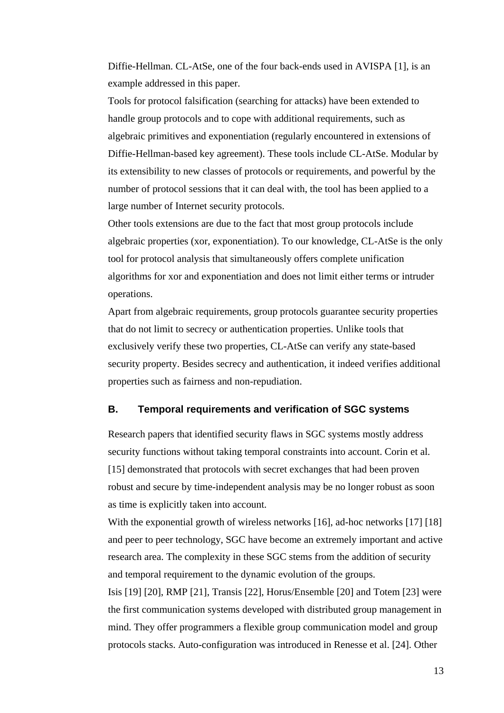Diffie-Hellman. CL-AtSe, one of the four back-ends used in AVISPA [1], is an example addressed in this paper.

Tools for protocol falsification (searching for attacks) have been extended to handle group protocols and to cope with additional requirements, such as algebraic primitives and exponentiation (regularly encountered in extensions of Diffie-Hellman-based key agreement). These tools include CL-AtSe. Modular by its extensibility to new classes of protocols or requirements, and powerful by the number of protocol sessions that it can deal with, the tool has been applied to a large number of Internet security protocols.

Other tools extensions are due to the fact that most group protocols include algebraic properties (xor, exponentiation). To our knowledge, CL-AtSe is the only tool for protocol analysis that simultaneously offers complete unification algorithms for xor and exponentiation and does not limit either terms or intruder operations.

Apart from algebraic requirements, group protocols guarantee security properties that do not limit to secrecy or authentication properties. Unlike tools that exclusively verify these two properties, CL-AtSe can verify any state-based security property. Besides secrecy and authentication, it indeed verifies additional properties such as fairness and non-repudiation.

### **B. Temporal requirements and verification of SGC systems**

Research papers that identified security flaws in SGC systems mostly address security functions without taking temporal constraints into account. Corin et al. [15] demonstrated that protocols with secret exchanges that had been proven robust and secure by time-independent analysis may be no longer robust as soon as time is explicitly taken into account.

With the exponential growth of wireless networks [16], ad-hoc networks [17] [18] and peer to peer technology, SGC have become an extremely important and active research area. The complexity in these SGC stems from the addition of security and temporal requirement to the dynamic evolution of the groups.

Isis [19] [20], RMP [21], Transis [22], Horus/Ensemble [20] and Totem [23] were the first communication systems developed with distributed group management in mind. They offer programmers a flexible group communication model and group protocols stacks. Auto-configuration was introduced in Renesse et al. [24]. Other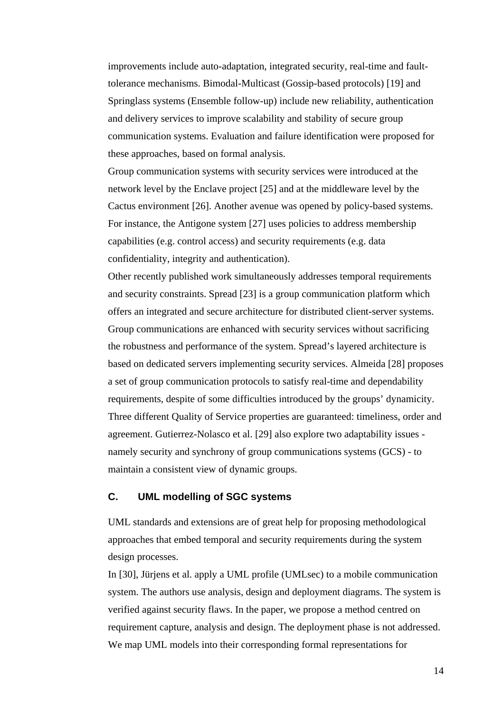improvements include auto-adaptation, integrated security, real-time and faulttolerance mechanisms. Bimodal-Multicast (Gossip-based protocols) [19] and Springlass systems (Ensemble follow-up) include new reliability, authentication and delivery services to improve scalability and stability of secure group communication systems. Evaluation and failure identification were proposed for these approaches, based on formal analysis.

Group communication systems with security services were introduced at the network level by the Enclave project [25] and at the middleware level by the Cactus environment [26]. Another avenue was opened by policy-based systems. For instance, the Antigone system [27] uses policies to address membership capabilities (e.g. control access) and security requirements (e.g. data confidentiality, integrity and authentication).

Other recently published work simultaneously addresses temporal requirements and security constraints. Spread [23] is a group communication platform which offers an integrated and secure architecture for distributed client-server systems. Group communications are enhanced with security services without sacrificing the robustness and performance of the system. Spread's layered architecture is based on dedicated servers implementing security services. Almeida [28] proposes a set of group communication protocols to satisfy real-time and dependability requirements, despite of some difficulties introduced by the groups' dynamicity. Three different Quality of Service properties are guaranteed: timeliness, order and agreement. Gutierrez-Nolasco et al. [29] also explore two adaptability issues namely security and synchrony of group communications systems (GCS) - to maintain a consistent view of dynamic groups.

### **C. UML modelling of SGC systems**

UML standards and extensions are of great help for proposing methodological approaches that embed temporal and security requirements during the system design processes.

In [30], Jürjens et al. apply a UML profile (UMLsec) to a mobile communication system. The authors use analysis, design and deployment diagrams. The system is verified against security flaws. In the paper, we propose a method centred on requirement capture, analysis and design. The deployment phase is not addressed. We map UML models into their corresponding formal representations for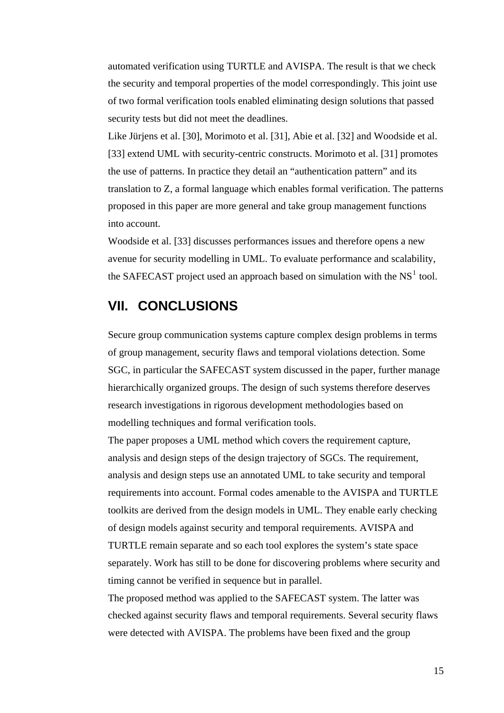automated verification using TURTLE and AVISPA. The result is that we check the security and temporal properties of the model correspondingly. This joint use of two formal verification tools enabled eliminating design solutions that passed security tests but did not meet the deadlines.

Like Jürjens et al. [30], Morimoto et al. [31], Abie et al. [32] and Woodside et al. [33] extend UML with security-centric constructs. Morimoto et al. [31] promotes the use of patterns. In practice they detail an "authentication pattern" and its translation to Z, a formal language which enables formal verification. The patterns proposed in this paper are more general and take group management functions into account.

Woodside et al. [33] discusses performances issues and therefore opens a new avenue for security modelling in UML. To evaluate performance and scalability, the SAFECAST project used an approach based on simulation with the NS $<sup>1</sup>$  $<sup>1</sup>$  $<sup>1</sup>$  tool.</sup>

### **VII. CONCLUSIONS**

Secure group communication systems capture complex design problems in terms of group management, security flaws and temporal violations detection. Some SGC, in particular the SAFECAST system discussed in the paper, further manage hierarchically organized groups. The design of such systems therefore deserves research investigations in rigorous development methodologies based on modelling techniques and formal verification tools.

The paper proposes a UML method which covers the requirement capture, analysis and design steps of the design trajectory of SGCs. The requirement, analysis and design steps use an annotated UML to take security and temporal requirements into account. Formal codes amenable to the AVISPA and TURTLE toolkits are derived from the design models in UML. They enable early checking of design models against security and temporal requirements. AVISPA and TURTLE remain separate and so each tool explores the system's state space separately. Work has still to be done for discovering problems where security and timing cannot be verified in sequence but in parallel.

<span id="page-15-0"></span>The proposed method was applied to the SAFECAST system. The latter was checked against security flaws and temporal requirements. Several security flaws were detected with AVISPA. The problems have been fixed and the group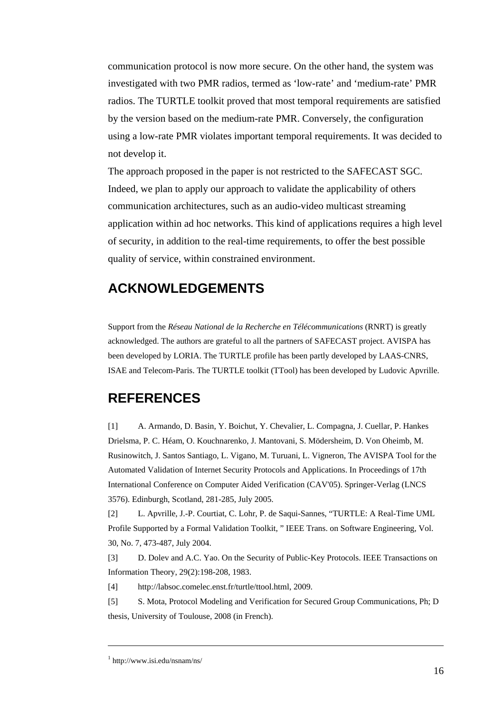communication protocol is now more secure. On the other hand, the system was investigated with two PMR radios, termed as 'low-rate' and 'medium-rate' PMR radios. The TURTLE toolkit proved that most temporal requirements are satisfied by the version based on the medium-rate PMR. Conversely, the configuration using a low-rate PMR violates important temporal requirements. It was decided to not develop it.

The approach proposed in the paper is not restricted to the SAFECAST SGC. Indeed, we plan to apply our approach to validate the applicability of others communication architectures, such as an audio-video multicast streaming application within ad hoc networks. This kind of applications requires a high level of security, in addition to the real-time requirements, to offer the best possible quality of service, within constrained environment.

### **ACKNOWLEDGEMENTS**

Support from the *Réseau National de la Recherche en Télécommunications* (RNRT) is greatly acknowledged. The authors are grateful to all the partners of SAFECAST project. AVISPA has been developed by LORIA. The TURTLE profile has been partly developed by LAAS-CNRS, ISAE and Telecom-Paris. The TURTLE toolkit (TTool) has been developed by Ludovic Apvrille.

### **REFERENCES**

[1] A. Armando, D. Basin, Y. Boichut, Y. Chevalier, L. Compagna, J. Cuellar, P. Hankes Drielsma, P. C. Héam, O. Kouchnarenko, J. Mantovani, S. Mödersheim, D. Von Oheimb, M. Rusinowitch, J. Santos Santiago, L. Vigano, M. Turuani, L. Vigneron, The AVISPA Tool for the Automated Validation of Internet Security Protocols and Applications. In Proceedings of 17th International Conference on Computer Aided Verification (CAV'05). Springer-Verlag (LNCS 3576). Edinburgh, Scotland, 281-285, July 2005.

[2] L. Apvrille, J.-P. Courtiat, C. Lohr, P. de Saqui-Sannes, "TURTLE: A Real-Time UML Profile Supported by a Formal Validation Toolkit, " IEEE Trans. on Software Engineering, Vol. 30, No. 7, 473-487, July 2004.

[3] D. Dolev and A.C. Yao. On the Security of Public-Key Protocols. IEEE Transactions on Information Theory, 29(2):198-208, 1983.

[4] http://labsoc.comelec.enst.fr/turtle/ttool.html, 2009.

[5] S. Mota, Protocol Modeling and Verification for Secured Group Communications, Ph; D thesis, University of Toulouse, 2008 (in French).

 $\overline{a}$ 

<sup>1</sup> http://www.isi.edu/nsnam/ns/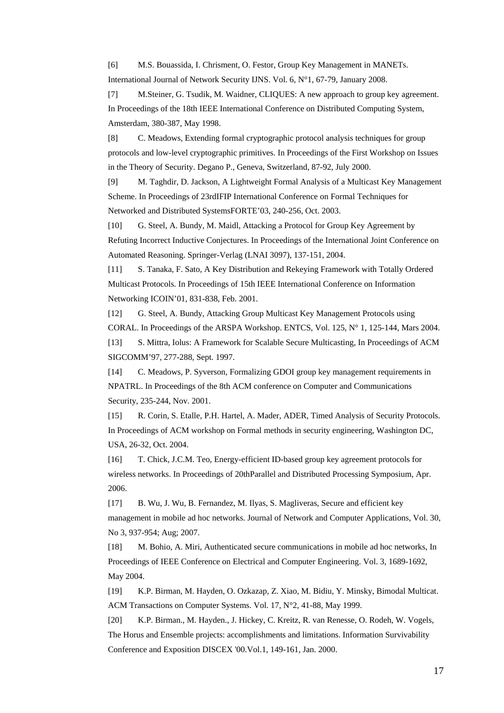[6] M.S. Bouassida, I. Chrisment, O. Festor, Group Key Management in MANETs. International Journal of Network Security IJNS. Vol. 6, N°1, 67-79, January 2008.

[7] M.Steiner, G. Tsudik, M. Waidner, CLIQUES: A new approach to group key agreement. In Proceedings of the 18th IEEE International Conference on Distributed Computing System, Amsterdam, 380-387, May 1998.

[8] C. Meadows, Extending formal cryptographic protocol analysis techniques for group protocols and low-level cryptographic primitives. In Proceedings of the First Workshop on Issues in the Theory of Security. Degano P., Geneva, Switzerland, 87-92, July 2000.

[9] M. Taghdir, D. Jackson, A Lightweight Formal Analysis of a Multicast Key Management Scheme. In Proceedings of 23rdIFIP International Conference on Formal Techniques for Networked and Distributed SystemsFORTE'03, 240-256, Oct. 2003.

[10] G. Steel, A. Bundy, M. Maidl, Attacking a Protocol for Group Key Agreement by Refuting Incorrect Inductive Conjectures. In Proceedings of the International Joint Conference on Automated Reasoning. Springer-Verlag (LNAI 3097), 137-151, 2004.

[11] S. Tanaka, F. Sato, A Key Distribution and Rekeying Framework with Totally Ordered Multicast Protocols. In Proceedings of 15th IEEE International Conference on Information Networking ICOIN'01, 831-838, Feb. 2001.

[12] G. Steel, A. Bundy, Attacking Group Multicast Key Management Protocols using CORAL. In Proceedings of the ARSPA Workshop. ENTCS, Vol. 125, N° 1, 125-144, Mars 2004.

[13] S. Mittra, Iolus: A Framework for Scalable Secure Multicasting, In Proceedings of ACM SIGCOMM'97, 277-288, Sept. 1997.

[14] C. Meadows, P. Syverson, Formalizing GDOI group key management requirements in NPATRL. In Proceedings of the 8th ACM conference on Computer and Communications Security, 235-244, Nov. 2001.

[15] R. Corin, S. Etalle, P.H. Hartel, A. Mader, ADER, Timed Analysis of Security Protocols. In Proceedings of ACM workshop on Formal methods in security engineering, Washington DC, USA, 26-32, Oct. 2004.

[16] T. Chick, J.C.M. Teo, Energy-efficient ID-based group key agreement protocols for wireless networks. In Proceedings of 20thParallel and Distributed Processing Symposium, Apr. 2006.

[17] B. Wu, J. Wu, B. Fernandez, M. Ilyas, S. Magliveras, Secure and efficient key management in mobile ad hoc networks. Journal of Network and Computer Applications, Vol. 30, No 3, 937-954; Aug; 2007.

[18] M. Bohio, A. Miri, Authenticated secure communications in mobile ad hoc networks, In Proceedings of IEEE Conference on Electrical and Computer Engineering. Vol. 3, 1689-1692, May 2004.

[19] K.P. Birman, M. Hayden, O. Ozkazap, Z. Xiao, M. Bidiu, Y. Minsky, Bimodal Multicat. ACM Transactions on Computer Systems. Vol. 17, N°2, 41-88, May 1999.

[20] K.P. Birman., M. Hayden., J. Hickey, C. Kreitz, R. van Renesse, O. Rodeh, W. Vogels, The Horus and Ensemble projects: accomplishments and limitations. Information Survivability Conference and Exposition DISCEX '00.Vol.1, 149-161, Jan. 2000.